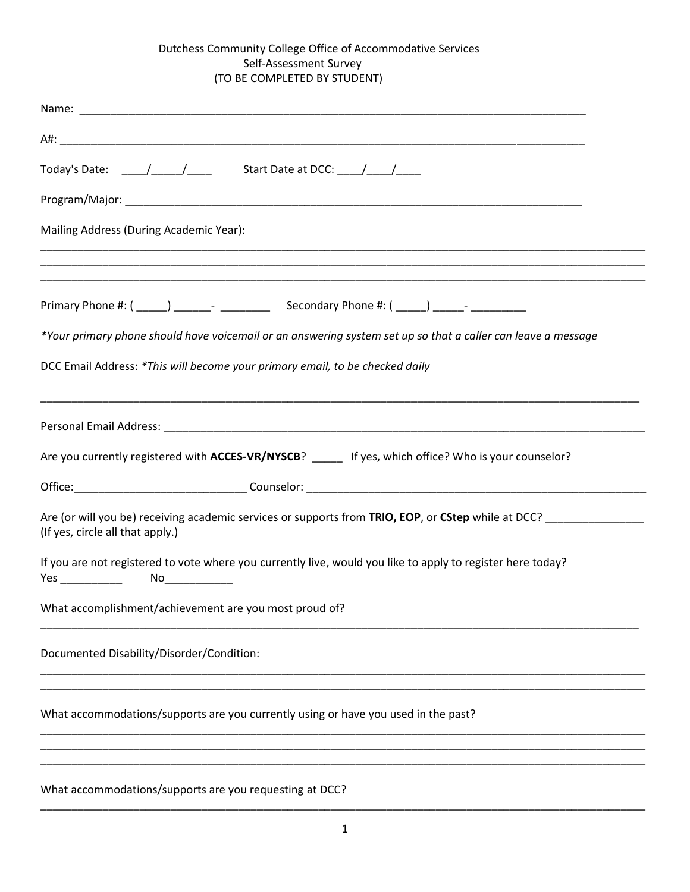# Dutchess Community College Office of Accommodative Services Self-Assessment Survey (TO BE COMPLETED BY STUDENT)

| Today's Date: ____/____/_____ Start Date at DCC: ____/____/____                                                                         |
|-----------------------------------------------------------------------------------------------------------------------------------------|
|                                                                                                                                         |
| Mailing Address (During Academic Year):                                                                                                 |
|                                                                                                                                         |
| *Your primary phone should have voicemail or an answering system set up so that a caller can leave a message                            |
| DCC Email Address: *This will become your primary email, to be checked daily                                                            |
|                                                                                                                                         |
| Are you currently registered with ACCES-VR/NYSCB? _____ If yes, which office? Who is your counselor?                                    |
|                                                                                                                                         |
| Are (or will you be) receiving academic services or supports from TRIO, EOP, or CStep while at DCC?<br>(If yes, circle all that apply.) |
| If you are not registered to vote where you currently live, would you like to apply to register here today?                             |
| What accomplishment/achievement are you most proud of?                                                                                  |
| Documented Disability/Disorder/Condition:                                                                                               |
| What accommodations/supports are you currently using or have you used in the past?                                                      |
|                                                                                                                                         |
|                                                                                                                                         |

What accommodations/supports are you requesting at DCC?

\_\_\_\_\_\_\_\_\_\_\_\_\_\_\_\_\_\_\_\_\_\_\_\_\_\_\_\_\_\_\_\_\_\_\_\_\_\_\_\_\_\_\_\_\_\_\_\_\_\_\_\_\_\_\_\_\_\_\_\_\_\_\_\_\_\_\_\_\_\_\_\_\_\_\_\_\_\_\_\_\_\_\_\_\_\_\_\_\_\_\_\_\_\_\_\_\_\_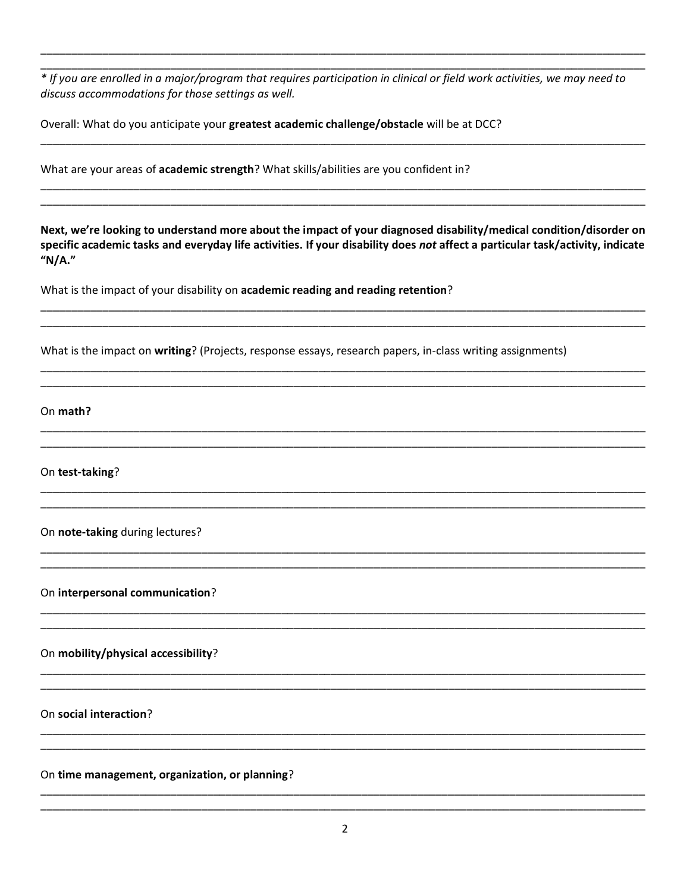\* If you are enrolled in a major/program that requires participation in clinical or field work activities, we may need to discuss accommodations for those settings as well.

Overall: What do you anticipate your greatest academic challenge/obstacle will be at DCC?

What are your areas of academic strength? What skills/abilities are you confident in?

Next, we're looking to understand more about the impact of your diagnosed disability/medical condition/disorder on specific academic tasks and everyday life activities. If your disability does not affect a particular task/activity, indicate "N/A."

What is the impact of your disability on academic reading and reading retention?

What is the impact on writing? (Projects, response essays, research papers, in-class writing assignments)

On math?

On test-taking?

On note-taking during lectures?

On interpersonal communication?

On mobility/physical accessibility?

On social interaction?

On time management, organization, or planning?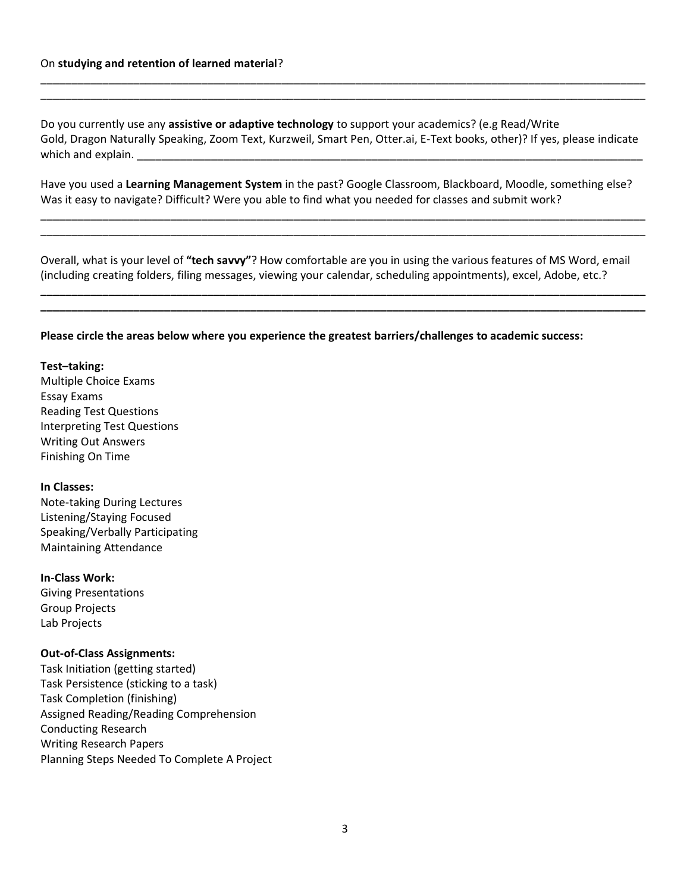Do you currently use any **assistive or adaptive technology** to support your academics? (e.g Read/Write Gold, Dragon Naturally Speaking, Zoom Text, Kurzweil, Smart Pen, Otter.ai, E-Text books, other)? If yes, please indicate which and explain.

\_\_\_\_\_\_\_\_\_\_\_\_\_\_\_\_\_\_\_\_\_\_\_\_\_\_\_\_\_\_\_\_\_\_\_\_\_\_\_\_\_\_\_\_\_\_\_\_\_\_\_\_\_\_\_\_\_\_\_\_\_\_\_\_\_\_\_\_\_\_\_\_\_\_\_\_\_\_\_\_\_\_\_\_\_\_\_\_\_\_\_\_\_\_\_\_\_\_ \_\_\_\_\_\_\_\_\_\_\_\_\_\_\_\_\_\_\_\_\_\_\_\_\_\_\_\_\_\_\_\_\_\_\_\_\_\_\_\_\_\_\_\_\_\_\_\_\_\_\_\_\_\_\_\_\_\_\_\_\_\_\_\_\_\_\_\_\_\_\_\_\_\_\_\_\_\_\_\_\_\_\_\_\_\_\_\_\_\_\_\_\_\_\_\_\_\_

Have you used a **Learning Management System** in the past? Google Classroom, Blackboard, Moodle, something else? Was it easy to navigate? Difficult? Were you able to find what you needed for classes and submit work?

\_\_\_\_\_\_\_\_\_\_\_\_\_\_\_\_\_\_\_\_\_\_\_\_\_\_\_\_\_\_\_\_\_\_\_\_\_\_\_\_\_\_\_\_\_\_\_\_\_\_\_\_\_\_\_\_\_\_\_\_\_\_\_\_\_\_\_\_\_\_\_\_\_\_\_\_\_\_\_\_\_\_\_\_\_\_\_\_\_\_\_\_\_\_\_\_\_\_ \_\_\_\_\_\_\_\_\_\_\_\_\_\_\_\_\_\_\_\_\_\_\_\_\_\_\_\_\_\_\_\_\_\_\_\_\_\_\_\_\_\_\_\_\_\_\_\_\_\_\_\_\_\_\_\_\_\_\_\_\_\_\_\_\_\_\_\_\_\_\_\_\_\_\_\_\_\_\_\_\_\_\_\_\_\_\_\_\_\_\_\_\_\_\_\_\_\_

Overall, what is your level of **"tech savvy"**? How comfortable are you in using the various features of MS Word, email (including creating folders, filing messages, viewing your calendar, scheduling appointments), excel, Adobe, etc.?

**\_\_\_\_\_\_\_\_\_\_\_\_\_\_\_\_\_\_\_\_\_\_\_\_\_\_\_\_\_\_\_\_\_\_\_\_\_\_\_\_\_\_\_\_\_\_\_\_\_\_\_\_\_\_\_\_\_\_\_\_\_\_\_\_\_\_\_\_\_\_\_\_\_\_\_\_\_\_\_\_\_\_\_\_\_\_\_\_\_\_\_\_\_\_\_\_\_\_ \_\_\_\_\_\_\_\_\_\_\_\_\_\_\_\_\_\_\_\_\_\_\_\_\_\_\_\_\_\_\_\_\_\_\_\_\_\_\_\_\_\_\_\_\_\_\_\_\_\_\_\_\_\_\_\_\_\_\_\_\_\_\_\_\_\_\_\_\_\_\_\_\_\_\_\_\_\_\_\_\_\_\_\_\_\_\_\_\_\_\_\_\_\_\_\_\_\_**

#### **Please circle the areas below where you experience the greatest barriers/challenges to academic success:**

### **Test–taking:**

Multiple Choice Exams Essay Exams Reading Test Questions Interpreting Test Questions Writing Out Answers Finishing On Time

### **In Classes:**

Note-taking During Lectures Listening/Staying Focused Speaking/Verbally Participating Maintaining Attendance

### **In-Class Work:**

Giving Presentations Group Projects Lab Projects

#### **Out-of-Class Assignments:**

Task Initiation (getting started) Task Persistence (sticking to a task) Task Completion (finishing) Assigned Reading/Reading Comprehension Conducting Research Writing Research Papers Planning Steps Needed To Complete A Project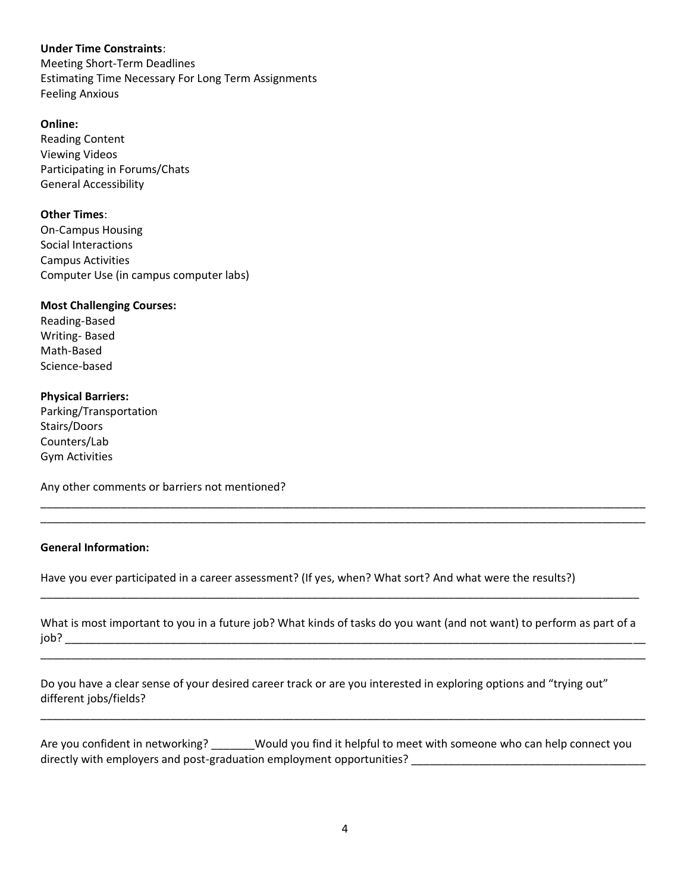# **Under Time Constraints**:

Meeting Short-Term Deadlines Estimating Time Necessary For Long Term Assignments Feeling Anxious

## **Online:**

Reading Content Viewing Videos Participating in Forums/Chats General Accessibility

## **Other Times**:

On-Campus Housing Social Interactions Campus Activities Computer Use (in campus computer labs)

## **Most Challenging Courses:**

Reading-Based Writing- Based Math-Based Science-based

## **Physical Barriers:**

Parking/Transportation Stairs/Doors Counters/Lab Gym Activities

Any other comments or barriers not mentioned?

## **General Information:**

Have you ever participated in a career assessment? (If yes, when? What sort? And what were the results?)

What is most important to you in a future job? What kinds of tasks do you want (and not want) to perform as part of a  $job?$ 

\_\_\_\_\_\_\_\_\_\_\_\_\_\_\_\_\_\_\_\_\_\_\_\_\_\_\_\_\_\_\_\_\_\_\_\_\_\_\_\_\_\_\_\_\_\_\_\_\_\_\_\_\_\_\_\_\_\_\_\_\_\_\_\_\_\_\_\_\_\_\_\_\_\_\_\_\_\_\_\_\_\_\_\_\_\_\_\_\_\_\_\_\_\_\_\_\_\_

\_\_\_\_\_\_\_\_\_\_\_\_\_\_\_\_\_\_\_\_\_\_\_\_\_\_\_\_\_\_\_\_\_\_\_\_\_\_\_\_\_\_\_\_\_\_\_\_\_\_\_\_\_\_\_\_\_\_\_\_\_\_\_\_\_\_\_\_\_\_\_\_\_\_\_\_\_\_\_\_\_\_\_\_\_\_\_\_\_\_\_\_\_\_\_\_\_\_

\_\_\_\_\_\_\_\_\_\_\_\_\_\_\_\_\_\_\_\_\_\_\_\_\_\_\_\_\_\_\_\_\_\_\_\_\_\_\_\_\_\_\_\_\_\_\_\_\_\_\_\_\_\_\_\_\_\_\_\_\_\_\_\_\_\_\_\_\_\_\_\_\_\_\_\_\_\_\_\_\_\_\_\_\_\_\_\_\_\_\_\_\_\_\_\_\_

\_\_\_\_\_\_\_\_\_\_\_\_\_\_\_\_\_\_\_\_\_\_\_\_\_\_\_\_\_\_\_\_\_\_\_\_\_\_\_\_\_\_\_\_\_\_\_\_\_\_\_\_\_\_\_\_\_\_\_\_\_\_\_\_\_\_\_\_\_\_\_\_\_\_\_\_\_\_\_\_\_\_\_\_\_\_\_\_\_\_\_\_\_\_\_\_\_\_ \_\_\_\_\_\_\_\_\_\_\_\_\_\_\_\_\_\_\_\_\_\_\_\_\_\_\_\_\_\_\_\_\_\_\_\_\_\_\_\_\_\_\_\_\_\_\_\_\_\_\_\_\_\_\_\_\_\_\_\_\_\_\_\_\_\_\_\_\_\_\_\_\_\_\_\_\_\_\_\_\_\_\_\_\_\_\_\_\_\_\_\_\_\_\_\_\_\_

Do you have a clear sense of your desired career track or are you interested in exploring options and "trying out" different jobs/fields?

Are you confident in networking? Would you find it helpful to meet with someone who can help connect you directly with employers and post-graduation employment opportunities? \_\_\_\_\_\_\_\_\_\_\_\_\_\_\_\_\_\_\_\_\_\_\_\_\_\_\_\_\_\_\_\_\_\_\_\_\_\_